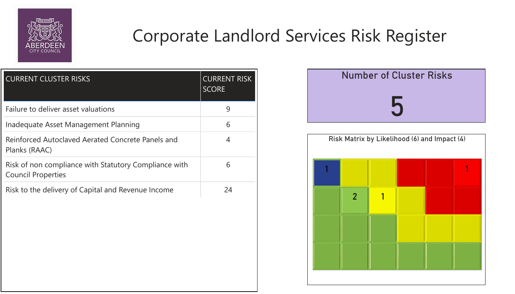| <b>CURRENT CLUSTER RISKS</b>                                                       | <b>CURRENT RISK</b><br><b>SCORE</b> |
|------------------------------------------------------------------------------------|-------------------------------------|
| Failure to deliver asset valuations                                                | 9                                   |
| Inadequate Asset Management Planning                                               | 6                                   |
| Reinforced Autoclaved Aerated Concrete Panels and<br>Planks (RAAC)                 | 4                                   |
| Risk of non compliance with Statutory Compliance with<br><b>Council Properties</b> | 6                                   |
| Risk to the delivery of Capital and Revenue Income                                 | 24                                  |





## Corporate Landlord Services Risk Register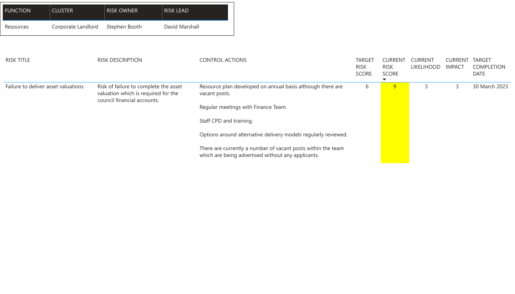

| <b>FUNCTION</b>                     | <b>CLUSTER</b>     | <b>RISK OWNER</b>                                                                                           | <b>RISK LEAD</b>      |                         |                                                                                                                    |                                              |                                        |                                     |                                     |                   |
|-------------------------------------|--------------------|-------------------------------------------------------------------------------------------------------------|-----------------------|-------------------------|--------------------------------------------------------------------------------------------------------------------|----------------------------------------------|----------------------------------------|-------------------------------------|-------------------------------------|-------------------|
| Resources                           | Corporate Landlord | Stephen Booth                                                                                               | <b>David Marshall</b> |                         |                                                                                                                    |                                              |                                        |                                     |                                     |                   |
|                                     |                    |                                                                                                             |                       |                         |                                                                                                                    |                                              |                                        |                                     |                                     |                   |
| <b>RISK TITLE</b>                   |                    | <b>RISK DESCRIPTION</b>                                                                                     |                       | <b>CONTROL ACTIONS</b>  |                                                                                                                    | <b>TARGET</b><br><b>RISK</b><br><b>SCORE</b> | <b>CURRENT</b><br><b>RISK</b><br>SCORE | <b>CURRENT</b><br><b>LIKELIHOOD</b> | <b>CURRENT TAR</b><br><b>IMPACT</b> | CON<br><b>DAT</b> |
| Failure to deliver asset valuations |                    | Risk of failure to complete the asset<br>valuation which is required for the<br>council financial accounts. |                       | vacant posts.           | Resource plan developed on annual basis although there are                                                         | 6                                            | 9                                      | $\overline{3}$                      |                                     | 30 N              |
|                                     |                    |                                                                                                             |                       |                         | Regular meetings with Finance Team.                                                                                |                                              |                                        |                                     |                                     |                   |
|                                     |                    |                                                                                                             |                       | Staff CPD and training. |                                                                                                                    |                                              |                                        |                                     |                                     |                   |
|                                     |                    |                                                                                                             |                       |                         | Options around alternative delivery models regularly reviewed.                                                     |                                              |                                        |                                     |                                     |                   |
|                                     |                    |                                                                                                             |                       |                         | There are currently a number of vacant posts within the team<br>which are being advertised without any applicants. |                                              |                                        |                                     |                                     |                   |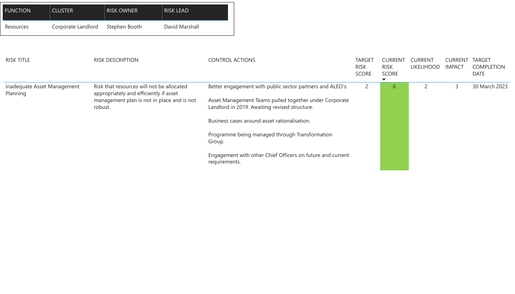| <b>FUNCTION</b>                                    | <b>CLUSTER</b>     | <b>RISK OWNER</b>                                                                                                                 | <b>RISK LEAD</b>       |                                              |                                                                                                                                                                      |                                     |                                 |                          |  |      |
|----------------------------------------------------|--------------------|-----------------------------------------------------------------------------------------------------------------------------------|------------------------|----------------------------------------------|----------------------------------------------------------------------------------------------------------------------------------------------------------------------|-------------------------------------|---------------------------------|--------------------------|--|------|
| Resources                                          | Corporate Landlord | Stephen Booth                                                                                                                     | David Marshall         |                                              |                                                                                                                                                                      |                                     |                                 |                          |  |      |
| <b>RISK TITLE</b><br><b>RISK DESCRIPTION</b>       |                    |                                                                                                                                   | <b>CONTROL ACTIONS</b> | <b>TARGET</b><br><b>RISK</b><br><b>SCORE</b> | <b>CURRENT</b><br><b>RISK</b><br><b>SCORE</b>                                                                                                                        | <b>CURRENT</b><br><b>LIKELIHOOD</b> | <b>CURRENT</b><br><b>IMPACT</b> | TAR<br>CON<br><b>DAT</b> |  |      |
| Inadequate Asset Management<br>Planning<br>robust. |                    | Risk that resources will not be allocated<br>appropriately and efficiently if asset<br>management plan is not in place and is not |                        |                                              | Better engagement with public sector partners and ALEO's.<br>Asset Management Teams pulled together under Corporate<br>Landlord in 2019. Awaiting revised structure. | $\overline{2}$                      | $\mathfrak b$                   |                          |  | 30 N |
|                                                    |                    |                                                                                                                                   |                        |                                              | Business cases around asset rationalisation.                                                                                                                         |                                     |                                 |                          |  |      |
|                                                    |                    |                                                                                                                                   |                        | Group.                                       | Programme being managed through Transformation                                                                                                                       |                                     |                                 |                          |  |      |
|                                                    |                    |                                                                                                                                   |                        | requirements.                                | Engagement with other Chief Officers on future and current                                                                                                           |                                     |                                 |                          |  |      |

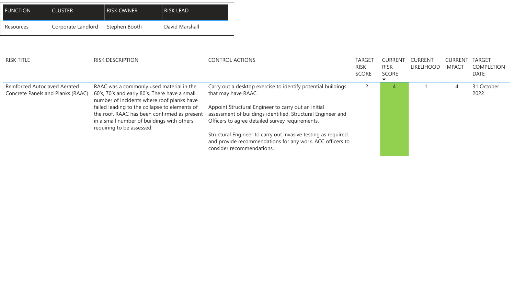| <b>FUNCTION</b>                                                                  | <b>CLUSTER</b>     | <b>RISK OWNER</b>                                                                                                                                                        | <b>RISK LEAD</b> |                        |                                                                                                                                                                       |                             |                             |                   |                |                           |
|----------------------------------------------------------------------------------|--------------------|--------------------------------------------------------------------------------------------------------------------------------------------------------------------------|------------------|------------------------|-----------------------------------------------------------------------------------------------------------------------------------------------------------------------|-----------------------------|-----------------------------|-------------------|----------------|---------------------------|
| Resources                                                                        | Corporate Landlord | Stephen Booth                                                                                                                                                            | David Marshall   |                        |                                                                                                                                                                       |                             |                             |                   |                |                           |
| <b>RISK TITLE</b>                                                                |                    | <b>RISK DESCRIPTION</b>                                                                                                                                                  |                  | <b>CONTROL ACTIONS</b> |                                                                                                                                                                       | <b>TARGET</b>               | <b>CURREN</b>               | CURRENT           | <b>CURREN</b>  | <b>TARG</b>               |
|                                                                                  |                    |                                                                                                                                                                          |                  |                        |                                                                                                                                                                       | <b>RISK</b><br><b>SCORE</b> | <b>RISK</b><br><b>SCORE</b> | <b>LIKELIHOOD</b> | <b>IMPACT</b>  | <b>COM</b><br><b>DATE</b> |
| <b>Reinforced Autoclaved Aerated</b><br><b>Concrete Panels and Planks (RAAC)</b> |                    | RAAC was a commonly used material in the<br>60's, 70's and early 80's. There have a small<br>number of incidents where roof planks have                                  |                  |                        | Carry out a desktop exercise to identify potential buildings<br>that may have RAAC.                                                                                   | $\overline{2}$              | $\overline{4}$              |                   | $\overline{4}$ | 31 O<br>2022              |
|                                                                                  |                    | failed leading to the collapse to elements of<br>the roof. RAAC has been confirmed as present<br>in a small number of buildings with others<br>requiring to be assessed. |                  |                        | Appoint Structural Engineer to carry out an initial<br>assessment of buildings identified. Structural Engineer and<br>Officers to agree detailed survey requirements. |                             |                             |                   |                |                           |
|                                                                                  |                    |                                                                                                                                                                          |                  |                        | Structural Engineer to carry out invasive testing as required<br>and provide recommendations for any work. ACC officers to<br>consider recommendations.               |                             |                             |                   |                |                           |

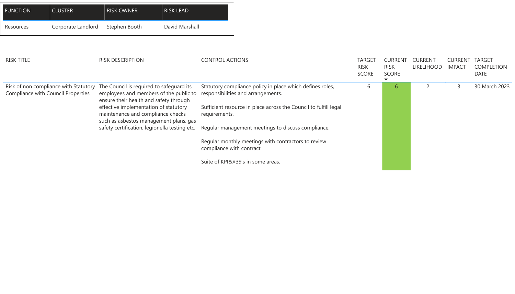| <b>FUNCTION</b>                           | <b>CLUSTER</b>     | <b>RISK OWNER</b>                                                                                                                                                                                                                                                                          | <b>RISK LEAD</b> |                                                                                                  |                                                                                                 |                                              |                                               |                                     |                                 |                                     |
|-------------------------------------------|--------------------|--------------------------------------------------------------------------------------------------------------------------------------------------------------------------------------------------------------------------------------------------------------------------------------------|------------------|--------------------------------------------------------------------------------------------------|-------------------------------------------------------------------------------------------------|----------------------------------------------|-----------------------------------------------|-------------------------------------|---------------------------------|-------------------------------------|
| Resources                                 | Corporate Landlord | Stephen Booth                                                                                                                                                                                                                                                                              | David Marshall   |                                                                                                  |                                                                                                 |                                              |                                               |                                     |                                 |                                     |
| <b>RISK TITLE</b>                         |                    | <b>RISK DESCRIPTION</b>                                                                                                                                                                                                                                                                    |                  | <b>CONTROL ACTIONS</b>                                                                           |                                                                                                 | <b>TARGET</b><br><b>RISK</b><br><b>SCORE</b> | <b>CURRENT</b><br><b>RISK</b><br><b>SCORE</b> | <b>CURRENT</b><br><b>LIKELIHOOD</b> | <b>CURRENT</b><br><b>IMPACT</b> | <b>TAF</b><br>CO<br>DA <sup>-</sup> |
| <b>Compliance with Council Properties</b> |                    | Risk of non compliance with Statutory The Council is required to safeguard its<br>employees and members of the public to<br>ensure their health and safety through<br>effective implementation of statutory<br>maintenance and compliance checks<br>such as asbestos management plans, gas |                  |                                                                                                  | Statutory compliance policy in place which defines roles,<br>responsibilities and arrangements. | 6                                            | 6                                             |                                     |                                 | 30                                  |
|                                           |                    |                                                                                                                                                                                                                                                                                            |                  | requirements.                                                                                    | Sufficient resource in place across the Council to fulfill legal                                |                                              |                                               |                                     |                                 |                                     |
|                                           |                    |                                                                                                                                                                                                                                                                                            |                  | safety certification, legionella testing etc. Regular management meetings to discuss compliance. |                                                                                                 |                                              |                                               |                                     |                                 |                                     |
|                                           |                    |                                                                                                                                                                                                                                                                                            |                  | compliance with contract.                                                                        | Regular monthly meetings with contractors to review                                             |                                              |                                               |                                     |                                 |                                     |
|                                           |                    |                                                                                                                                                                                                                                                                                            |                  |                                                                                                  | Suite of KPI's in some areas.                                                                   |                                              |                                               |                                     |                                 |                                     |